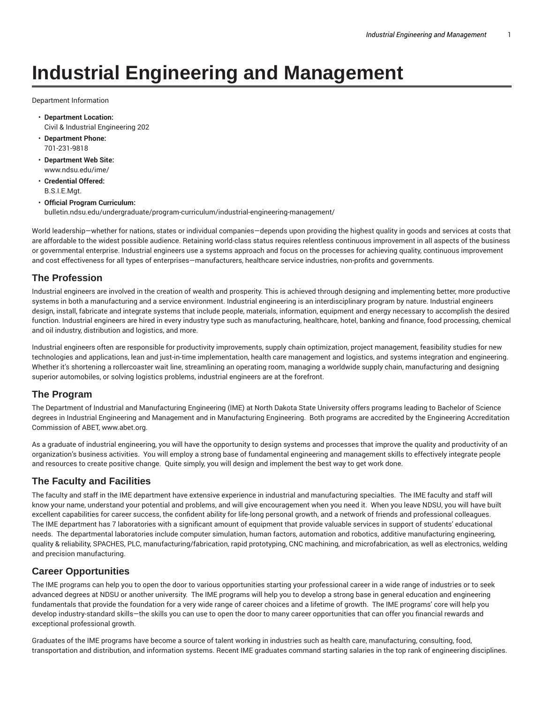# **Industrial Engineering and Management**

Department Information

- **Department Location:** Civil & Industrial Engineering 202
- **Department Phone:** 701-231-9818
- **Department Web Site:** www.ndsu.edu/ime/
- **Credential Offered:** B.S.I.E.Mgt.
- **Official Program Curriculum:** bulletin.ndsu.edu/undergraduate/program-curriculum/industrial-engineering-management/

World leadership—whether for nations, states or individual companies—depends upon providing the highest quality in goods and services at costs that are affordable to the widest possible audience. Retaining world-class status requires relentless continuous improvement in all aspects of the business or governmental enterprise. Industrial engineers use a systems approach and focus on the processes for achieving quality, continuous improvement and cost effectiveness for all types of enterprises—manufacturers, healthcare service industries, non-profits and governments.

### **The Profession**

Industrial engineers are involved in the creation of wealth and prosperity. This is achieved through designing and implementing better, more productive systems in both a manufacturing and a service environment. Industrial engineering is an interdisciplinary program by nature. Industrial engineers design, install, fabricate and integrate systems that include people, materials, information, equipment and energy necessary to accomplish the desired function. Industrial engineers are hired in every industry type such as manufacturing, healthcare, hotel, banking and finance, food processing, chemical and oil industry, distribution and logistics, and more.

Industrial engineers often are responsible for productivity improvements, supply chain optimization, project management, feasibility studies for new technologies and applications, lean and just-in-time implementation, health care management and logistics, and systems integration and engineering. Whether it's shortening a rollercoaster wait line, streamlining an operating room, managing a worldwide supply chain, manufacturing and designing superior automobiles, or solving logistics problems, industrial engineers are at the forefront.

### **The Program**

The Department of Industrial and Manufacturing Engineering (IME) at North Dakota State University offers programs leading to Bachelor of Science degrees in Industrial Engineering and Management and in Manufacturing Engineering. Both programs are accredited by the Engineering Accreditation Commission of ABET, www.abet.org.

As a graduate of industrial engineering, you will have the opportunity to design systems and processes that improve the quality and productivity of an organization's business activities. You will employ a strong base of fundamental engineering and management skills to effectively integrate people and resources to create positive change. Quite simply, you will design and implement the best way to get work done.

### **The Faculty and Facilities**

The faculty and staff in the IME department have extensive experience in industrial and manufacturing specialties. The IME faculty and staff will know your name, understand your potential and problems, and will give encouragement when you need it. When you leave NDSU, you will have built excellent capabilities for career success, the confident ability for life-long personal growth, and a network of friends and professional colleagues. The IME department has 7 laboratories with a significant amount of equipment that provide valuable services in support of students' educational needs. The departmental laboratories include computer simulation, human factors, automation and robotics, additive manufacturing engineering, quality & reliability, SPACHES, PLC, manufacturing/fabrication, rapid prototyping, CNC machining, and microfabrication, as well as electronics, welding and precision manufacturing.

### **Career Opportunities**

The IME programs can help you to open the door to various opportunities starting your professional career in a wide range of industries or to seek advanced degrees at NDSU or another university. The IME programs will help you to develop a strong base in general education and engineering fundamentals that provide the foundation for a very wide range of career choices and a lifetime of growth. The IME programs' core will help you develop industry-standard skills—the skills you can use to open the door to many career opportunities that can offer you financial rewards and exceptional professional growth.

Graduates of the IME programs have become a source of talent working in industries such as health care, manufacturing, consulting, food, transportation and distribution, and information systems. Recent IME graduates command starting salaries in the top rank of engineering disciplines.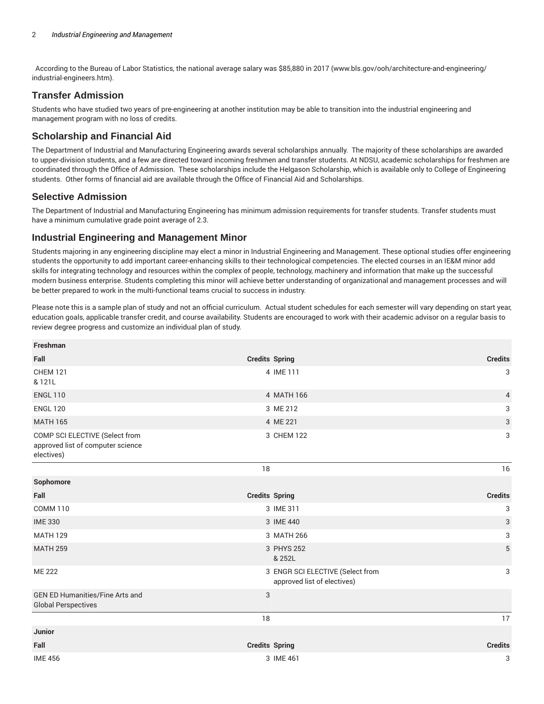According to the Bureau of Labor Statistics, the national average salary was \$85,880 in 2017 (www.bls.gov/ooh/architecture-and-engineering/ industrial-engineers.htm).

# **Transfer Admission**

Students who have studied two years of pre-engineering at another institution may be able to transition into the industrial engineering and management program with no loss of credits.

# **Scholarship and Financial Aid**

The Department of Industrial and Manufacturing Engineering awards several scholarships annually. The majority of these scholarships are awarded to upper-division students, and a few are directed toward incoming freshmen and transfer students. At NDSU, academic scholarships for freshmen are coordinated through the Office of Admission. These scholarships include the Helgason Scholarship, which is available only to College of Engineering students. Other forms of financial aid are available through the Office of Financial Aid and Scholarships.

#### **Selective Admission**

The Department of Industrial and Manufacturing Engineering has minimum admission requirements for transfer students. Transfer students must have a minimum cumulative grade point average of 2.3.

### **Industrial Engineering and Management Minor**

Students majoring in any engineering discipline may elect a minor in Industrial Engineering and Management. These optional studies offer engineering students the opportunity to add important career-enhancing skills to their technological competencies. The elected courses in an IE&M minor add skills for integrating technology and resources within the complex of people, technology, machinery and information that make up the successful modern business enterprise. Students completing this minor will achieve better understanding of organizational and management processes and will be better prepared to work in the multi-functional teams crucial to success in industry.

Please note this is a sample plan of study and not an official curriculum. Actual student schedules for each semester will vary depending on start year, education goals, applicable transfer credit, and course availability. Students are encouraged to work with their academic advisor on a regular basis to review degree progress and customize an individual plan of study.

| Freshman                                                                          |                       |                                                                 |                |
|-----------------------------------------------------------------------------------|-----------------------|-----------------------------------------------------------------|----------------|
| Fall                                                                              | <b>Credits Spring</b> |                                                                 | <b>Credits</b> |
| <b>CHEM 121</b><br>& 121L                                                         |                       | 4 IME 111                                                       | 3              |
| <b>ENGL 110</b>                                                                   |                       | 4 MATH 166                                                      | 4              |
| <b>ENGL 120</b>                                                                   |                       | 3 ME 212                                                        | 3              |
| <b>MATH 165</b>                                                                   |                       | 4 ME 221                                                        | 3              |
| COMP SCI ELECTIVE (Select from<br>approved list of computer science<br>electives) |                       | 3 CHEM 122                                                      | 3              |
|                                                                                   | 18                    |                                                                 | 16             |
| Sophomore                                                                         |                       |                                                                 |                |
| Fall                                                                              | <b>Credits Spring</b> |                                                                 | <b>Credits</b> |
| <b>COMM 110</b>                                                                   |                       | 3 IME 311                                                       | 3              |
| <b>IME 330</b>                                                                    |                       | 3 IME 440                                                       | 3              |
| <b>MATH 129</b>                                                                   |                       | 3 MATH 266                                                      | 3              |
| <b>MATH 259</b>                                                                   |                       | 3 PHYS 252<br>& 252L                                            | 5              |
| <b>ME 222</b>                                                                     |                       | 3 ENGR SCI ELECTIVE (Select from<br>approved list of electives) | 3              |
| <b>GEN ED Humanities/Fine Arts and</b><br><b>Global Perspectives</b>              | 3                     |                                                                 |                |
|                                                                                   | 18                    |                                                                 | 17             |
| Junior                                                                            |                       |                                                                 |                |
| Fall                                                                              | <b>Credits Spring</b> |                                                                 | <b>Credits</b> |
| <b>IME 456</b>                                                                    |                       | 3 IME 461                                                       | 3              |